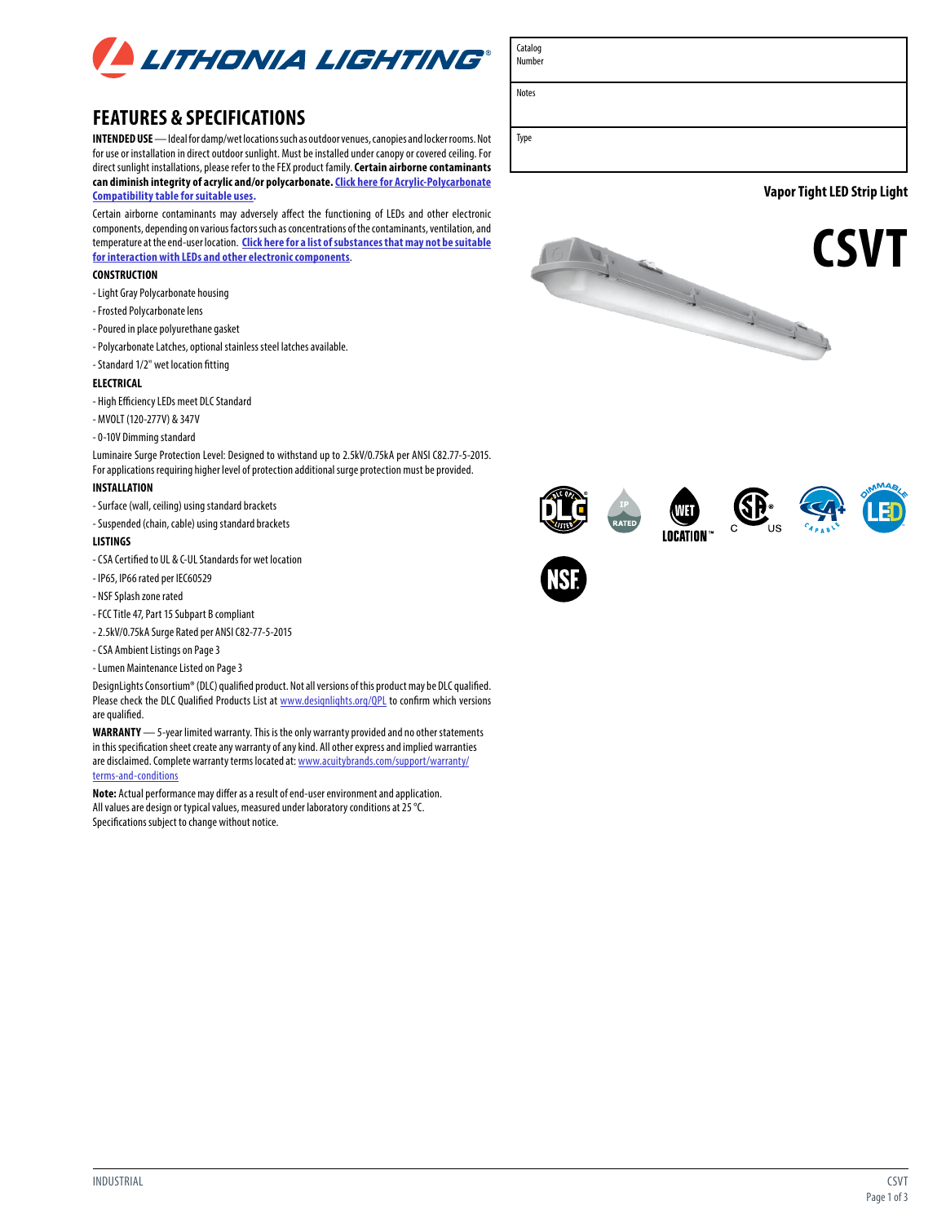

## **FEATURES & SPECIFICATIONS**

**INTENDED USE** — Ideal for damp/wet locations such as outdoor venues, canopies and locker rooms. Not for use or installation in direct outdoor sunlight. Must be installed under canopy or covered ceiling. For direct sunlight installations, please refer to the FEX product family. **Certain airborne contaminants can diminish integrity of acrylic and/or polycarbonate. [Click here for Acrylic-Polycarbonate](https://pdmassets.azureedge.net/library/ll/documents/specsheets/acrylic-polycarbonate-compatibility.pdf)  [Compatibility table for suitable uses.](https://pdmassets.azureedge.net/library/ll/documents/specsheets/acrylic-polycarbonate-compatibility.pdf)**

Certain airborne contaminants may adversely affect the functioning of LEDs and other electronic components, depending on various factors such as concentrations of the contaminants, ventilation, and temperature at the end-user location. **[Click here for a list of substances that may not be suitable](https://pdmassets.azureedge.net/library/LL/documents/otherdocuments/LED%20Chemical%20Compatibility.pdf) [for interaction with LEDs and other electronic components](https://pdmassets.azureedge.net/library/LL/documents/otherdocuments/LED%20Chemical%20Compatibility.pdf)**.

### **CONSTRUCTION**

- Light Gray Polycarbonate housing
- Frosted Polycarbonate lens
- Poured in place polyurethane gasket
- Polycarbonate Latches, optional stainless steel latches available.
- Standard 1/2" wet location fitting

### **ELECTRICAL**

- High Efficiency LEDs meet DLC Standard

- MVOLT (120-277V) & 347V
- 0-10V Dimming standard

Luminaire Surge Protection Level: Designed to withstand up to 2.5kV/0.75kA per ANSI C82.77-5-2015. For applications requiring higher level of protection additional surge protection must be provided.

### **INSTALLATION**

- Surface (wall, ceiling) using standard brackets
- Suspended (chain, cable) using standard brackets

### **LISTINGS**

- CSA Certified to UL & C-UL Standards for wet location
- IP65, IP66 rated per IEC60529
- NSF Splash zone rated
- FCC Title 47, Part 15 Subpart B compliant
- 2.5kV/0.75kA Surge Rated per ANSI C82-77-5-2015
- CSA Ambient Listings on Page 3

- Lumen Maintenance Listed on Page 3

DesignLights Consortium® (DLC) qualified product. Not all versions of this product may be DLC qualified. Please check the DLC Qualified Products List at www.designlights.org/QPL to confirm which versions are qualified.

**WARRANTY** — 5-year limited warranty. This is the only warranty provided and no other statements in this specification sheet create any warranty of any kind. All other express and implied warranties are disclaimed. Complete warranty terms located at: [www.acuitybrands.com/support/warranty/](http://www.acuitybrands.com/support/warranty/terms-and-conditions) [terms-and-conditions](http://www.acuitybrands.com/support/warranty/terms-and-conditions)

**Note:** Actual performance may differ as a result of end-user environment and application. All values are design or typical values, measured under laboratory conditions at 25 °C. Specifications subject to change without notice.

Number

Catalog

Notes

Type

**Vapor Tight LED Strip Light**













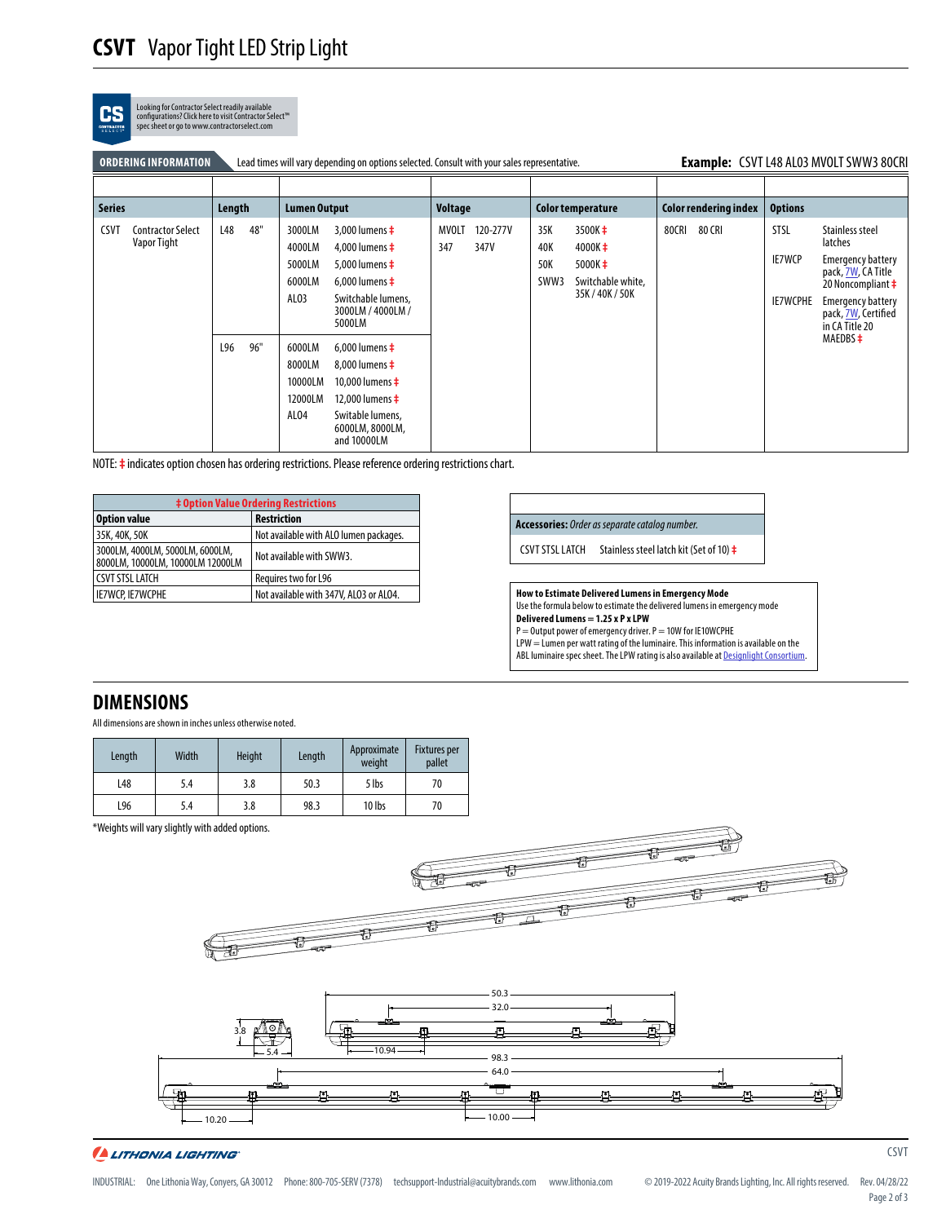| CS<br><b>CONTRACTOR</b> | Looking for Contractor Select readily available<br>configurations? Click here to visit Contractor Select™<br>spec sheet or go to www.contractorselect.com |
|-------------------------|-----------------------------------------------------------------------------------------------------------------------------------------------------------|
|                         |                                                                                                                                                           |

| Example: CSVT L48 AL03 MVOLT SWW3 80CRI<br>Lead times will vary depending on options selected. Consult with your sales representative.<br><b>ORDERING INFORMATION</b> |                                         |        |     |                                                |                                                                                                                                                               |                     |                  |                           |                                                                                         |       |                              |                                          |                                                                                                                                                                                 |
|-----------------------------------------------------------------------------------------------------------------------------------------------------------------------|-----------------------------------------|--------|-----|------------------------------------------------|---------------------------------------------------------------------------------------------------------------------------------------------------------------|---------------------|------------------|---------------------------|-----------------------------------------------------------------------------------------|-------|------------------------------|------------------------------------------|---------------------------------------------------------------------------------------------------------------------------------------------------------------------------------|
|                                                                                                                                                                       |                                         |        |     |                                                |                                                                                                                                                               |                     |                  |                           |                                                                                         |       |                              |                                          |                                                                                                                                                                                 |
| <b>Series</b>                                                                                                                                                         |                                         | Length |     | <b>Lumen Output</b>                            |                                                                                                                                                               | <b>Voltage</b>      |                  |                           | Color temperature                                                                       |       | <b>Color rendering index</b> | <b>Options</b>                           |                                                                                                                                                                                 |
| <b>CSVT</b>                                                                                                                                                           | <b>Contractor Select</b><br>Vapor Tight | L48    | 48" | 3000LM<br>4000LM<br>5000LM<br>6000LM<br>ALO3   | 3,000 lumens $\ddagger$<br>4,000 lumens $\ddagger$<br>5,000 lumens $\ddagger$<br>6,000 lumens $\ddagger$<br>Switchable lumens,<br>3000LM / 4000LM /<br>5000LM | <b>MVOLT</b><br>347 | 120-277V<br>347V | 35K<br>40K<br>50K<br>SWW3 | 3500K <sup>+</sup><br>$4000K\pm$<br>$5000K \pm$<br>Switchable white,<br>35K / 40K / 50K | 80CRI | 80 CRI                       | <b>STSL</b><br><b>IE7WCP</b><br>IE7WCPHE | Stainless steel<br>latches<br><b>Emergency battery</b><br>pack, 7W, CA Title<br>20 Noncompliant $\ddagger$<br><b>Emergency battery</b><br>pack, 7W, Certified<br>in CA Title 20 |
|                                                                                                                                                                       |                                         | L96    | 96" | 6000LM<br>8000LM<br>10000LM<br>12000LM<br>ALO4 | 6.000 lumens $\pm$<br>8.000 lumens $\pm$<br>10,000 lumens $\ddagger$<br>12,000 lumens $\ddagger$<br>Switable lumens,<br>6000LM, 8000LM,<br>and 10000LM        |                     |                  |                           |                                                                                         |       |                              |                                          | $MAEDBS$ $\pm$                                                                                                                                                                  |

NOTE: **‡** indicates option chosen has ordering restrictions. Please reference ordering restrictions chart.

| <b>‡ Option Value Ordering Restrictions</b>                         |                                        |  |  |  |  |  |
|---------------------------------------------------------------------|----------------------------------------|--|--|--|--|--|
| <b>Option value</b>                                                 | <b>Restriction</b>                     |  |  |  |  |  |
| 35K, 40K, 50K                                                       | Not available with ALO lumen packages. |  |  |  |  |  |
| 3000LM, 4000LM, 5000LM, 6000LM,<br>8000LM, 10000LM, 10000LM 12000LM | Not available with SWW3.               |  |  |  |  |  |
| <b>CSVT STSL LATCH</b>                                              | Requires two for L96                   |  |  |  |  |  |
| IE7WCP. IE7WCPHE                                                    | Not available with 347V, ALO3 or ALO4. |  |  |  |  |  |

### **Accessories:** *Order as separate catalog number.*

CSVT STSL LATCH Stainless steel latch kit (Set of 10) **‡**

**How to Estimate Delivered Lumens in Emergency Mode** Use the formula below to estimate the delivered lumens in emergency mode **Delivered Lumens = 1.25 x P x LPW**

P = Output power of emergency driver. P = 10W for IE10WCPHE  ${\sf LPW} = {\sf Lumen}$  per watt rating of the luminaire. This information is available on the ABL luminaire spec sheet. The LPW rating is also available at [Designlight Consortium](https://www.designlights.org/).

## **DIMENSIONS**

All dimensions are shown in inches unless otherwise noted.

| Length | Width | <b>Height</b> | Length | Approximate<br>weight | <b>Fixtures per</b><br>pallet |
|--------|-------|---------------|--------|-----------------------|-------------------------------|
| L48    | 5.4   | 3.8           | 50.3   | 5 lbs                 | 70                            |
| L96    | 5.4   | 3.8           | 98.3   | 10 lbs                | 70                            |

\*Weights will vary slightly with added options.



A LITHONIA LIGHTING